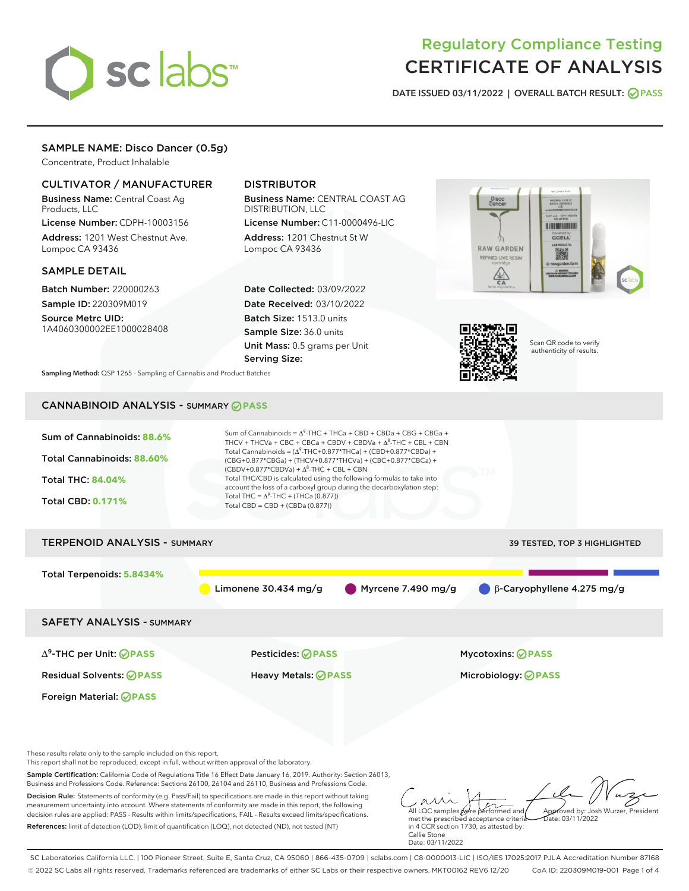

# Regulatory Compliance Testing CERTIFICATE OF ANALYSIS

DATE ISSUED 03/11/2022 | OVERALL BATCH RESULT: @ PASS

# SAMPLE NAME: Disco Dancer (0.5g)

Concentrate, Product Inhalable

# CULTIVATOR / MANUFACTURER

Business Name: Central Coast Ag Products, LLC

License Number: CDPH-10003156 Address: 1201 West Chestnut Ave. Lompoc CA 93436

#### SAMPLE DETAIL

Batch Number: 220000263 Sample ID: 220309M019

Source Metrc UID: 1A4060300002EE1000028408

# DISTRIBUTOR

Business Name: CENTRAL COAST AG DISTRIBUTION, LLC License Number: C11-0000496-LIC

Address: 1201 Chestnut St W Lompoc CA 93436

Date Collected: 03/09/2022 Date Received: 03/10/2022 Batch Size: 1513.0 units Sample Size: 36.0 units Unit Mass: 0.5 grams per Unit Serving Size:





Scan QR code to verify authenticity of results.

Sampling Method: QSP 1265 - Sampling of Cannabis and Product Batches

# CANNABINOID ANALYSIS - SUMMARY **PASS**



References: limit of detection (LOD), limit of quantification (LOQ), not detected (ND), not tested (NT)

met the prescribed acceptance criteria in 4 CCR section 1730, as attested by: Callie Stone Date: 03/11/2022

SC Laboratories California LLC. | 100 Pioneer Street, Suite E, Santa Cruz, CA 95060 | 866-435-0709 | sclabs.com | C8-0000013-LIC | ISO/IES 17025:2017 PJLA Accreditation Number 87168 © 2022 SC Labs all rights reserved. Trademarks referenced are trademarks of either SC Labs or their respective owners. MKT00162 REV6 12/20 CoA ID: 220309M019-001 Page 1 of 4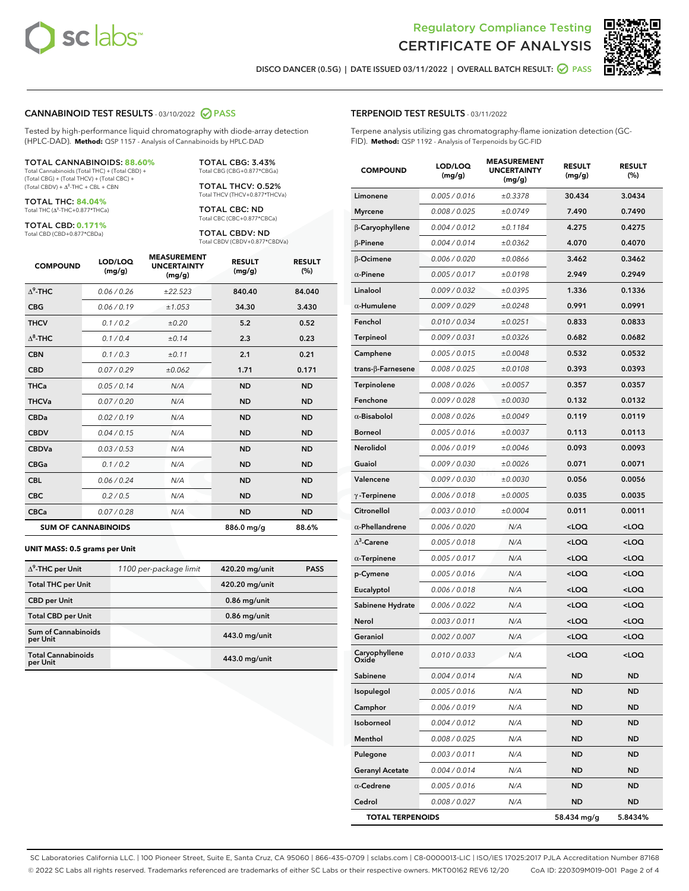



DISCO DANCER (0.5G) | DATE ISSUED 03/11/2022 | OVERALL BATCH RESULT: **○** PASS

#### CANNABINOID TEST RESULTS - 03/10/2022 2 PASS

Tested by high-performance liquid chromatography with diode-array detection (HPLC-DAD). **Method:** QSP 1157 - Analysis of Cannabinoids by HPLC-DAD

#### TOTAL CANNABINOIDS: **88.60%**

Total Cannabinoids (Total THC) + (Total CBD) + (Total CBG) + (Total THCV) + (Total CBC) +  $(Total CBDV) +  $\Delta^8$ -THC + CBL + CBN$ 

TOTAL THC: **84.04%** Total THC (Δ<sup>9</sup>-THC+0.877\*THCa)

TOTAL CBD: **0.171%**

Total CBD (CBD+0.877\*CBDa)

TOTAL CBG: 3.43% Total CBG (CBG+0.877\*CBGa)

TOTAL THCV: 0.52% Total THCV (THCV+0.877\*THCVa)

TOTAL CBC: ND Total CBC (CBC+0.877\*CBCa)

TOTAL CBDV: ND Total CBDV (CBDV+0.877\*CBDVa)

| <b>COMPOUND</b>  | LOD/LOQ<br>(mg/g)          | <b>MEASUREMENT</b><br><b>UNCERTAINTY</b><br>(mg/g) | <b>RESULT</b><br>(mg/g) | <b>RESULT</b><br>(%) |
|------------------|----------------------------|----------------------------------------------------|-------------------------|----------------------|
| $\Delta^9$ -THC  | 0.06 / 0.26                | ±22.523                                            | 840.40                  | 84.040               |
| <b>CBG</b>       | 0.06/0.19                  | ±1.053                                             | 34.30                   | 3.430                |
| <b>THCV</b>      | 0.1/0.2                    | ±0.20                                              | 5.2                     | 0.52                 |
| $\Lambda^8$ -THC | 0.1/0.4                    | ±0.14                                              | 2.3                     | 0.23                 |
| <b>CBN</b>       | 0.1 / 0.3                  | ±0.11                                              | 2.1                     | 0.21                 |
| <b>CBD</b>       | 0.07/0.29                  | ±0.062                                             | 1.71                    | 0.171                |
| <b>THCa</b>      | 0.05/0.14                  | N/A                                                | <b>ND</b>               | <b>ND</b>            |
| <b>THCVa</b>     | 0.07 / 0.20                | N/A                                                | <b>ND</b>               | <b>ND</b>            |
| <b>CBDa</b>      | 0.02/0.19                  | N/A                                                | <b>ND</b>               | <b>ND</b>            |
| <b>CBDV</b>      | 0.04 / 0.15                | N/A                                                | <b>ND</b>               | <b>ND</b>            |
| <b>CBDVa</b>     | 0.03 / 0.53                | N/A                                                | <b>ND</b>               | <b>ND</b>            |
| <b>CBGa</b>      | 0.1/0.2                    | N/A                                                | <b>ND</b>               | <b>ND</b>            |
| <b>CBL</b>       | 0.06 / 0.24                | N/A                                                | <b>ND</b>               | <b>ND</b>            |
| <b>CBC</b>       | 0.2 / 0.5                  | N/A                                                | <b>ND</b>               | <b>ND</b>            |
| <b>CBCa</b>      | 0.07/0.28                  | N/A                                                | <b>ND</b>               | <b>ND</b>            |
|                  | <b>SUM OF CANNABINOIDS</b> |                                                    | 886.0 mg/g              | 88.6%                |

#### **UNIT MASS: 0.5 grams per Unit**

| $\Delta^9$ -THC per Unit               | 1100 per-package limit | 420.20 mg/unit | <b>PASS</b> |
|----------------------------------------|------------------------|----------------|-------------|
| <b>Total THC per Unit</b>              |                        | 420.20 mg/unit |             |
| <b>CBD</b> per Unit                    |                        | $0.86$ mg/unit |             |
| <b>Total CBD per Unit</b>              |                        | $0.86$ mg/unit |             |
| <b>Sum of Cannabinoids</b><br>per Unit |                        | 443.0 mg/unit  |             |
| <b>Total Cannabinoids</b><br>per Unit  |                        | 443.0 mg/unit  |             |

| <b>COMPOUND</b>         | LOD/LOQ<br>(mg/g) | <b>MEASUREMENT</b><br><b>UNCERTAINTY</b><br>(mg/g) | <b>RESULT</b><br>(mg/g)                         | <b>RESULT</b><br>(%) |
|-------------------------|-------------------|----------------------------------------------------|-------------------------------------------------|----------------------|
| Limonene                | 0.005 / 0.016     | ±0.3378                                            | 30.434                                          | 3.0434               |
| <b>Myrcene</b>          | 0.008 / 0.025     | ±0.0749                                            | 7.490                                           | 0.7490               |
| β-Caryophyllene         | 0.004 / 0.012     | ±0.1184                                            | 4.275                                           | 0.4275               |
| $\beta$ -Pinene         | 0.004 / 0.014     | ±0.0362                                            | 4.070                                           | 0.4070               |
| β-Ocimene               | 0.006 / 0.020     | ±0.0866                                            | 3.462                                           | 0.3462               |
| $\alpha$ -Pinene        | 0.005 / 0.017     | ±0.0198                                            | 2.949                                           | 0.2949               |
| Linalool                | 0.009 / 0.032     | ±0.0395                                            | 1.336                                           | 0.1336               |
| $\alpha$ -Humulene      | 0.009 / 0.029     | ±0.0248                                            | 0.991                                           | 0.0991               |
| Fenchol                 | 0.010/0.034       | ±0.0251                                            | 0.833                                           | 0.0833               |
| Terpineol               | 0.009 / 0.031     | ±0.0326                                            | 0.682                                           | 0.0682               |
| Camphene                | 0.005 / 0.015     | ±0.0048                                            | 0.532                                           | 0.0532               |
| trans-β-Farnesene       | 0.008 / 0.025     | ±0.0108                                            | 0.393                                           | 0.0393               |
| Terpinolene             | 0.008 / 0.026     | ±0.0057                                            | 0.357                                           | 0.0357               |
| Fenchone                | 0.009 / 0.028     | ±0.0030                                            | 0.132                                           | 0.0132               |
| $\alpha$ -Bisabolol     | 0.008 / 0.026     | ±0.0049                                            | 0.119                                           | 0.0119               |
| <b>Borneol</b>          | 0.005 / 0.016     | ±0.0037                                            | 0.113                                           | 0.0113               |
| Nerolidol               | 0.006 / 0.019     | ±0.0046                                            | 0.093                                           | 0.0093               |
| Guaiol                  | 0.009 / 0.030     | ±0.0026                                            | 0.071                                           | 0.0071               |
| Valencene               | 0.009 / 0.030     | ±0.0030                                            | 0.056                                           | 0.0056               |
| $\gamma$ -Terpinene     | 0.006 / 0.018     | ±0.0005                                            | 0.035                                           | 0.0035               |
| Citronellol             | 0.003 / 0.010     | ±0.0004                                            | 0.011                                           | 0.0011               |
| $\alpha$ -Phellandrene  | 0.006 / 0.020     | N/A                                                | <loq< th=""><th><loq< th=""></loq<></th></loq<> | <loq< th=""></loq<>  |
| $\Delta^3$ -Carene      | 0.005 / 0.018     | N/A                                                | <loq< th=""><th><loq< th=""></loq<></th></loq<> | <loq< th=""></loq<>  |
| $\alpha$ -Terpinene     | 0.005 / 0.017     | N/A                                                | <loq< th=""><th><loq< th=""></loq<></th></loq<> | <loq< th=""></loq<>  |
| p-Cymene                | 0.005 / 0.016     | N/A                                                | <loq< th=""><th><loq< th=""></loq<></th></loq<> | <loq< th=""></loq<>  |
| Eucalyptol              | 0.006 / 0.018     | N/A                                                | <loq< th=""><th><loq< th=""></loq<></th></loq<> | <loq< th=""></loq<>  |
| Sabinene Hydrate        | 0.006 / 0.022     | N/A                                                | <loq< th=""><th><loq< th=""></loq<></th></loq<> | <loq< th=""></loq<>  |
| Nerol                   | 0.003 / 0.011     | N/A                                                | <loq< th=""><th><loq< th=""></loq<></th></loq<> | <loq< th=""></loq<>  |
| Geraniol                | 0.002 / 0.007     | N/A                                                | <loq< th=""><th><loq< th=""></loq<></th></loq<> | <loq< th=""></loq<>  |
| Caryophyllene<br>Oxide  | 0.010 / 0.033     | N/A                                                | <loq< th=""><th><loq< th=""></loq<></th></loq<> | <loq< th=""></loq<>  |
| Sabinene                | 0.004 / 0.014     | N/A                                                | ND                                              | ND                   |
| Isopulegol              | 0.005 / 0.016     | N/A                                                | ND                                              | ND                   |
| Camphor                 | 0.006 / 0.019     | N/A                                                | ND                                              | ND                   |
| Isoborneol              | 0.004 / 0.012     | N/A                                                | ND                                              | ND                   |
| Menthol                 | 0.008 / 0.025     | N/A                                                | ND                                              | ND                   |
| Pulegone                | 0.003 / 0.011     | N/A                                                | ND                                              | ND                   |
| <b>Geranyl Acetate</b>  | 0.004 / 0.014     | N/A                                                | ND                                              | ND                   |
| $\alpha$ -Cedrene       | 0.005 / 0.016     | N/A                                                | ND                                              | ND                   |
| Cedrol                  | 0.008 / 0.027     | N/A                                                | ND                                              | ND                   |
| <b>TOTAL TERPENOIDS</b> |                   |                                                    | 58.434 mg/g                                     | 5.8434%              |

SC Laboratories California LLC. | 100 Pioneer Street, Suite E, Santa Cruz, CA 95060 | 866-435-0709 | sclabs.com | C8-0000013-LIC | ISO/IES 17025:2017 PJLA Accreditation Number 87168 © 2022 SC Labs all rights reserved. Trademarks referenced are trademarks of either SC Labs or their respective owners. MKT00162 REV6 12/20 CoA ID: 220309M019-001 Page 2 of 4

# TERPENOID TEST RESULTS - 03/11/2022

Terpene analysis utilizing gas chromatography-flame ionization detection (GC-FID). **Method:** QSP 1192 - Analysis of Terpenoids by GC-FID

MEASUREMENT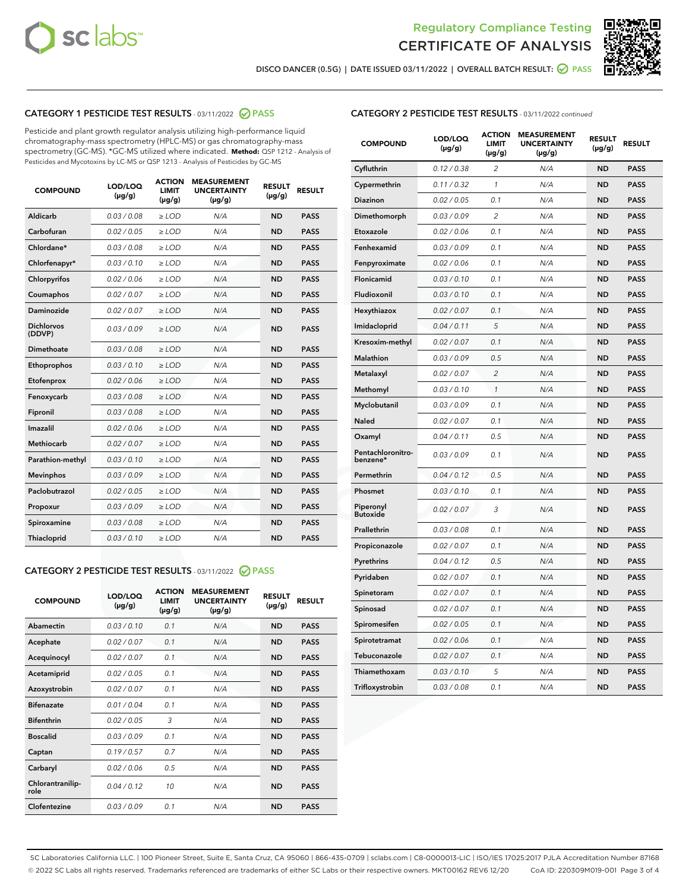



DISCO DANCER (0.5G) | DATE ISSUED 03/11/2022 | OVERALL BATCH RESULT: Ø PASS

# CATEGORY 1 PESTICIDE TEST RESULTS - 03/11/2022 2 PASS

Pesticide and plant growth regulator analysis utilizing high-performance liquid chromatography-mass spectrometry (HPLC-MS) or gas chromatography-mass spectrometry (GC-MS). \*GC-MS utilized where indicated. **Method:** QSP 1212 - Analysis of Pesticides and Mycotoxins by LC-MS or QSP 1213 - Analysis of Pesticides by GC-MS

| <b>COMPOUND</b>             | LOD/LOQ<br>$(\mu g/g)$ | <b>ACTION</b><br><b>LIMIT</b><br>$(\mu g/g)$ | <b>MEASUREMENT</b><br><b>UNCERTAINTY</b><br>$(\mu g/g)$ | <b>RESULT</b><br>$(\mu g/g)$ | <b>RESULT</b> |
|-----------------------------|------------------------|----------------------------------------------|---------------------------------------------------------|------------------------------|---------------|
| Aldicarb                    | 0.03 / 0.08            | $\ge$ LOD                                    | N/A                                                     | <b>ND</b>                    | <b>PASS</b>   |
| Carbofuran                  | 0.02/0.05              | $>$ LOD                                      | N/A                                                     | <b>ND</b>                    | <b>PASS</b>   |
| Chlordane*                  | 0.03 / 0.08            | $\ge$ LOD                                    | N/A                                                     | <b>ND</b>                    | <b>PASS</b>   |
| Chlorfenapyr*               | 0.03/0.10              | $\ge$ LOD                                    | N/A                                                     | <b>ND</b>                    | <b>PASS</b>   |
| Chlorpyrifos                | 0.02/0.06              | $\ge$ LOD                                    | N/A                                                     | <b>ND</b>                    | <b>PASS</b>   |
| Coumaphos                   | 0.02 / 0.07            | $\geq$ LOD                                   | N/A                                                     | <b>ND</b>                    | <b>PASS</b>   |
| Daminozide                  | 0.02 / 0.07            | $>$ LOD                                      | N/A                                                     | <b>ND</b>                    | <b>PASS</b>   |
| <b>Dichlorvos</b><br>(DDVP) | 0.03 / 0.09            | $\ge$ LOD                                    | N/A                                                     | <b>ND</b>                    | <b>PASS</b>   |
| Dimethoate                  | 0.03/0.08              | $>$ LOD                                      | N/A                                                     | <b>ND</b>                    | <b>PASS</b>   |
| Ethoprophos                 | 0.03/0.10              | $>$ LOD                                      | N/A                                                     | <b>ND</b>                    | <b>PASS</b>   |
| Etofenprox                  | 0.02 / 0.06            | $\ge$ LOD                                    | N/A                                                     | <b>ND</b>                    | <b>PASS</b>   |
| Fenoxycarb                  | 0.03 / 0.08            | $\ge$ LOD                                    | N/A                                                     | <b>ND</b>                    | <b>PASS</b>   |
| Fipronil                    | 0.03 / 0.08            | $\ge$ LOD                                    | N/A                                                     | <b>ND</b>                    | <b>PASS</b>   |
| Imazalil                    | 0.02 / 0.06            | $>$ LOD                                      | N/A                                                     | <b>ND</b>                    | <b>PASS</b>   |
| <b>Methiocarb</b>           | 0.02 / 0.07            | $\ge$ LOD                                    | N/A                                                     | <b>ND</b>                    | <b>PASS</b>   |
| Parathion-methyl            | 0.03/0.10              | $\ge$ LOD                                    | N/A                                                     | <b>ND</b>                    | <b>PASS</b>   |
| <b>Mevinphos</b>            | 0.03/0.09              | $\ge$ LOD                                    | N/A                                                     | <b>ND</b>                    | <b>PASS</b>   |
| Paclobutrazol               | 0.02 / 0.05            | $\ge$ LOD                                    | N/A                                                     | <b>ND</b>                    | <b>PASS</b>   |
| Propoxur                    | 0.03/0.09              | $>$ LOD                                      | N/A                                                     | <b>ND</b>                    | <b>PASS</b>   |
| Spiroxamine                 | 0.03 / 0.08            | $\ge$ LOD                                    | N/A                                                     | <b>ND</b>                    | <b>PASS</b>   |
| Thiacloprid                 | 0.03/0.10              | $>$ LOD                                      | N/A                                                     | <b>ND</b>                    | <b>PASS</b>   |
|                             |                        |                                              |                                                         |                              |               |

# CATEGORY 2 PESTICIDE TEST RESULTS - 03/11/2022 @ PASS

| <b>COMPOUND</b>          | LOD/LOO<br>$(\mu g/g)$ | <b>ACTION</b><br><b>LIMIT</b><br>(µg/g) | <b>MEASUREMENT</b><br><b>UNCERTAINTY</b><br>$(\mu g/g)$ | <b>RESULT</b><br>$(\mu g/g)$ | <b>RESULT</b> |  |
|--------------------------|------------------------|-----------------------------------------|---------------------------------------------------------|------------------------------|---------------|--|
| Abamectin                | 0.03/0.10              | 0.1                                     | N/A                                                     | <b>ND</b>                    | <b>PASS</b>   |  |
| Acephate                 | 0.02/0.07              | 0.1                                     | N/A                                                     | <b>ND</b>                    | <b>PASS</b>   |  |
| Acequinocyl              | 0.02/0.07              | 0.1                                     | N/A                                                     | <b>ND</b>                    | <b>PASS</b>   |  |
| Acetamiprid              | 0.02/0.05              | 0.1                                     | N/A                                                     | <b>ND</b>                    | <b>PASS</b>   |  |
| Azoxystrobin             | 0.02/0.07              | 0.1                                     | N/A                                                     | <b>ND</b>                    | <b>PASS</b>   |  |
| <b>Bifenazate</b>        | 0.01/0.04              | 0.1                                     | N/A                                                     | <b>ND</b>                    | <b>PASS</b>   |  |
| <b>Bifenthrin</b>        | 0.02/0.05              | 3                                       | N/A                                                     | <b>ND</b>                    | <b>PASS</b>   |  |
| <b>Boscalid</b>          | 0.03/0.09              | 0.1                                     | N/A                                                     | <b>ND</b>                    | <b>PASS</b>   |  |
| Captan                   | 0.19/0.57              | 0.7                                     | N/A                                                     | <b>ND</b>                    | <b>PASS</b>   |  |
| Carbaryl                 | 0.02/0.06              | 0.5                                     | N/A                                                     | <b>ND</b>                    | <b>PASS</b>   |  |
| Chlorantranilip-<br>role | 0.04/0.12              | 10                                      | N/A                                                     | <b>ND</b>                    | <b>PASS</b>   |  |
| Clofentezine             | 0.03/0.09              | 0.1                                     | N/A                                                     | <b>ND</b>                    | <b>PASS</b>   |  |

| <b>CATEGORY 2 PESTICIDE TEST RESULTS</b> - 03/11/2022 continued |
|-----------------------------------------------------------------|
|-----------------------------------------------------------------|

| <b>COMPOUND</b>               | LOD/LOQ<br>(µg/g) | <b>ACTION</b><br><b>LIMIT</b><br>$(\mu g/g)$ | <b>MEASUREMENT</b><br><b>UNCERTAINTY</b><br>(µg/g) | <b>RESULT</b><br>(µg/g) | <b>RESULT</b> |
|-------------------------------|-------------------|----------------------------------------------|----------------------------------------------------|-------------------------|---------------|
| Cyfluthrin                    | 0.12 / 0.38       | $\overline{c}$                               | N/A                                                | <b>ND</b>               | <b>PASS</b>   |
| Cypermethrin                  | 0.11 / 0.32       | 1                                            | N/A                                                | <b>ND</b>               | <b>PASS</b>   |
| Diazinon                      | 0.02 / 0.05       | 0.1                                          | N/A                                                | <b>ND</b>               | <b>PASS</b>   |
| Dimethomorph                  | 0.03 / 0.09       | $\overline{c}$                               | N/A                                                | <b>ND</b>               | <b>PASS</b>   |
| Etoxazole                     | 0.02 / 0.06       | 0.1                                          | N/A                                                | <b>ND</b>               | <b>PASS</b>   |
| Fenhexamid                    | 0.03 / 0.09       | 0.1                                          | N/A                                                | <b>ND</b>               | <b>PASS</b>   |
| Fenpyroximate                 | 0.02 / 0.06       | 0.1                                          | N/A                                                | <b>ND</b>               | <b>PASS</b>   |
| Flonicamid                    | 0.03 / 0.10       | 0.1                                          | N/A                                                | <b>ND</b>               | <b>PASS</b>   |
| Fludioxonil                   | 0.03 / 0.10       | 0.1                                          | N/A                                                | <b>ND</b>               | <b>PASS</b>   |
| Hexythiazox                   | 0.02 / 0.07       | 0.1                                          | N/A                                                | <b>ND</b>               | <b>PASS</b>   |
| Imidacloprid                  | 0.04 / 0.11       | 5                                            | N/A                                                | <b>ND</b>               | <b>PASS</b>   |
| Kresoxim-methyl               | 0.02 / 0.07       | 0.1                                          | N/A                                                | <b>ND</b>               | <b>PASS</b>   |
| <b>Malathion</b>              | 0.03 / 0.09       | 0.5                                          | N/A                                                | <b>ND</b>               | <b>PASS</b>   |
| Metalaxyl                     | 0.02 / 0.07       | $\overline{c}$                               | N/A                                                | <b>ND</b>               | <b>PASS</b>   |
| Methomyl                      | 0.03 / 0.10       | $\mathcal{I}$                                | N/A                                                | <b>ND</b>               | <b>PASS</b>   |
| Myclobutanil                  | 0.03 / 0.09       | 0.1                                          | N/A                                                | <b>ND</b>               | <b>PASS</b>   |
| Naled                         | 0.02 / 0.07       | 0.1                                          | N/A                                                | <b>ND</b>               | <b>PASS</b>   |
| Oxamyl                        | 0.04 / 0.11       | 0.5                                          | N/A                                                | <b>ND</b>               | <b>PASS</b>   |
| Pentachloronitro-<br>benzene* | 0.03 / 0.09       | 0.1                                          | N/A                                                | <b>ND</b>               | <b>PASS</b>   |
| Permethrin                    | 0.04 / 0.12       | 0.5                                          | N/A                                                | <b>ND</b>               | <b>PASS</b>   |
| Phosmet                       | 0.03 / 0.10       | 0.1                                          | N/A                                                | <b>ND</b>               | <b>PASS</b>   |
| Piperonyl<br><b>Butoxide</b>  | 0.02 / 0.07       | 3                                            | N/A                                                | <b>ND</b>               | <b>PASS</b>   |
| Prallethrin                   | 0.03 / 0.08       | 0.1                                          | N/A                                                | <b>ND</b>               | <b>PASS</b>   |
| Propiconazole                 | 0.02 / 0.07       | 0.1                                          | N/A                                                | <b>ND</b>               | <b>PASS</b>   |
| Pyrethrins                    | 0.04 / 0.12       | 0.5                                          | N/A                                                | <b>ND</b>               | <b>PASS</b>   |
| Pyridaben                     | 0.02 / 0.07       | 0.1                                          | N/A                                                | <b>ND</b>               | <b>PASS</b>   |
| Spinetoram                    | 0.02 / 0.07       | 0.1                                          | N/A                                                | <b>ND</b>               | <b>PASS</b>   |
| Spinosad                      | 0.02 / 0.07       | 0.1                                          | N/A                                                | <b>ND</b>               | <b>PASS</b>   |
| Spiromesifen                  | 0.02 / 0.05       | 0.1                                          | N/A                                                | ND                      | <b>PASS</b>   |
| Spirotetramat                 | 0.02 / 0.06       | 0.1                                          | N/A                                                | <b>ND</b>               | <b>PASS</b>   |
| Tebuconazole                  | 0.02 / 0.07       | 0.1                                          | N/A                                                | <b>ND</b>               | <b>PASS</b>   |
| Thiamethoxam                  | 0.03 / 0.10       | 5                                            | N/A                                                | <b>ND</b>               | <b>PASS</b>   |
| Trifloxystrobin               | 0.03 / 0.08       | 0.1                                          | N/A                                                | ND                      | <b>PASS</b>   |

SC Laboratories California LLC. | 100 Pioneer Street, Suite E, Santa Cruz, CA 95060 | 866-435-0709 | sclabs.com | C8-0000013-LIC | ISO/IES 17025:2017 PJLA Accreditation Number 87168 © 2022 SC Labs all rights reserved. Trademarks referenced are trademarks of either SC Labs or their respective owners. MKT00162 REV6 12/20 CoA ID: 220309M019-001 Page 3 of 4